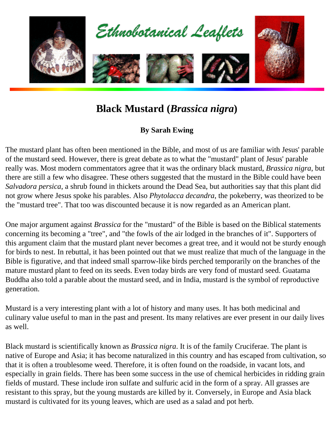

## **Black Mustard (***Brassica nigra***)**

## **By Sarah Ewing**

The mustard plant has often been mentioned in the Bible, and most of us are familiar with Jesus' parable of the mustard seed. However, there is great debate as to what the "mustard" plant of Jesus' parable really was. Most modern commentators agree that it was the ordinary black mustard, *Brassica nigra*, but there are still a few who disagree. These others suggested that the mustard in the Bible could have been *Salvadora persica*, a shrub found in thickets around the Dead Sea, but authorities say that this plant did not grow where Jesus spoke his parables. Also *Phytolacca decandra*, the pokeberry, was theorized to be the "mustard tree". That too was discounted because it is now regarded as an American plant.

One major argument against *Brassica* for the "mustard" of the Bible is based on the Biblical statements concerning its becoming a "tree", and "the fowls of the air lodged in the branches of it". Supporters of this argument claim that the mustard plant never becomes a great tree, and it would not be sturdy enough for birds to nest. In rebuttal, it has been pointed out that we must realize that much of the language in the Bible is figurative, and that indeed small sparrow-like birds perched temporarily on the branches of the mature mustard plant to feed on its seeds. Even today birds are very fond of mustard seed. Guatama Buddha also told a parable about the mustard seed, and in India, mustard is the symbol of reproductive generation.

Mustard is a very interesting plant with a lot of history and many uses. It has both medicinal and culinary value useful to man in the past and present. Its many relatives are ever present in our daily lives as well.

Black mustard is scientifically known as *Brassica nigra*. It is of the family Cruciferae. The plant is native of Europe and Asia; it has become naturalized in this country and has escaped from cultivation, so that it is often a troublesome weed. Therefore, it is often found on the roadside, in vacant lots, and especially in grain fields. There has been some success in the use of chemical herbicides in ridding grain fields of mustard. These include iron sulfate and sulfuric acid in the form of a spray. All grasses are resistant to this spray, but the young mustards are killed by it. Conversely, in Europe and Asia black mustard is cultivated for its young leaves, which are used as a salad and pot herb.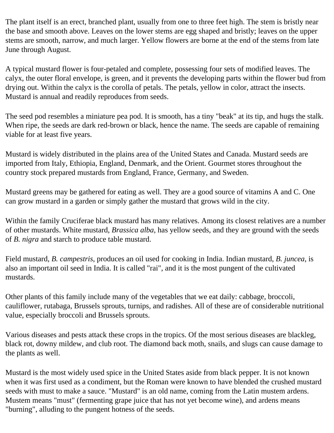The plant itself is an erect, branched plant, usually from one to three feet high. The stem is bristly near the base and smooth above. Leaves on the lower stems are egg shaped and bristly; leaves on the upper stems are smooth, narrow, and much larger. Yellow flowers are borne at the end of the stems from late June through August.

A typical mustard flower is four-petaled and complete, possessing four sets of modified leaves. The calyx, the outer floral envelope, is green, and it prevents the developing parts within the flower bud from drying out. Within the calyx is the corolla of petals. The petals, yellow in color, attract the insects. Mustard is annual and readily reproduces from seeds.

The seed pod resembles a miniature pea pod. It is smooth, has a tiny "beak" at its tip, and hugs the stalk. When ripe, the seeds are dark red-brown or black, hence the name. The seeds are capable of remaining viable for at least five years.

Mustard is widely distributed in the plains area of the United States and Canada. Mustard seeds are imported from Italy, Ethiopia, England, Denmark, and the Orient. Gourmet stores throughout the country stock prepared mustards from England, France, Germany, and Sweden.

Mustard greens may be gathered for eating as well. They are a good source of vitamins A and C. One can grow mustard in a garden or simply gather the mustard that grows wild in the city.

Within the family Cruciferae black mustard has many relatives. Among its closest relatives are a number of other mustards. White mustard, *Brassica alba*, has yellow seeds, and they are ground with the seeds of *B. nigra* and starch to produce table mustard.

Field mustard, *B. campestris*, produces an oil used for cooking in India. Indian mustard, *B. juncea*, is also an important oil seed in India. It is called "rai", and it is the most pungent of the cultivated mustards.

Other plants of this family include many of the vegetables that we eat daily: cabbage, broccoli, cauliflower, rutabaga, Brussels sprouts, turnips, and radishes. All of these are of considerable nutritional value, especially broccoli and Brussels sprouts.

Various diseases and pests attack these crops in the tropics. Of the most serious diseases are blackleg, black rot, downy mildew, and club root. The diamond back moth, snails, and slugs can cause damage to the plants as well.

Mustard is the most widely used spice in the United States aside from black pepper. It is not known when it was first used as a condiment, but the Roman were known to have blended the crushed mustard seeds with must to make a sauce. "Mustard" is an old name, coming from the Latin mustem ardens. Mustem means "must" (fermenting grape juice that has not yet become wine), and ardens means "burning", alluding to the pungent hotness of the seeds.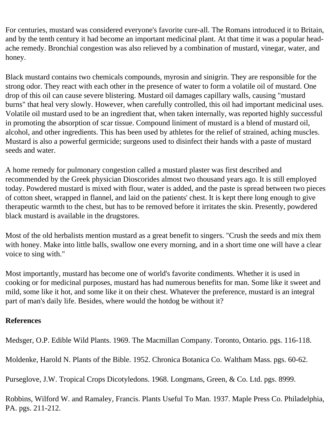For centuries, mustard was considered everyone's favorite cure-all. The Romans introduced it to Britain, and by the tenth century it had become an important medicinal plant. At that time it was a popular headache remedy. Bronchial congestion was also relieved by a combination of mustard, vinegar, water, and honey.

Black mustard contains two chemicals compounds, myrosin and sinigrin. They are responsible for the strong odor. They react with each other in the presence of water to form a volatile oil of mustard. One drop of this oil can cause severe blistering. Mustard oil damages capillary walls, causing "mustard burns" that heal very slowly. However, when carefully controlled, this oil had important medicinal uses. Volatile oil mustard used to be an ingredient that, when taken internally, was reported highly successful in promoting the absorption of scar tissue. Compound liniment of mustard is a blend of mustard oil, alcohol, and other ingredients. This has been used by athletes for the relief of strained, aching muscles. Mustard is also a powerful germicide; surgeons used to disinfect their hands with a paste of mustard seeds and water.

A home remedy for pulmonary congestion called a mustard plaster was first described and recommended by the Greek physician Dioscorides almost two thousand years ago. It is still employed today. Powdered mustard is mixed with flour, water is added, and the paste is spread between two pieces of cotton sheet, wrapped in flannel, and laid on the patients' chest. It is kept there long enough to give therapeutic warmth to the chest, but has to be removed before it irritates the skin. Presently, powdered black mustard is available in the drugstores.

Most of the old herbalists mention mustard as a great benefit to singers. "Crush the seeds and mix them with honey. Make into little balls, swallow one every morning, and in a short time one will have a clear voice to sing with."

Most importantly, mustard has become one of world's favorite condiments. Whether it is used in cooking or for medicinal purposes, mustard has had numerous benefits for man. Some like it sweet and mild, some like it hot, and some like it on their chest. Whatever the preference, mustard is an integral part of man's daily life. Besides, where would the hotdog be without it?

## **References**

Medsger, O.P. Edible Wild Plants. 1969. The Macmillan Company. Toronto, Ontario. pgs. 116-118.

Moldenke, Harold N. Plants of the Bible. 1952. Chronica Botanica Co. Waltham Mass. pgs. 60-62.

Purseglove, J.W. Tropical Crops Dicotyledons. 1968. Longmans, Green, & Co. Ltd. pgs. 8999.

Robbins, Wilford W. and Ramaley, Francis. Plants Useful To Man. 1937. Maple Press Co. Philadelphia, PA. pgs. 211-212.